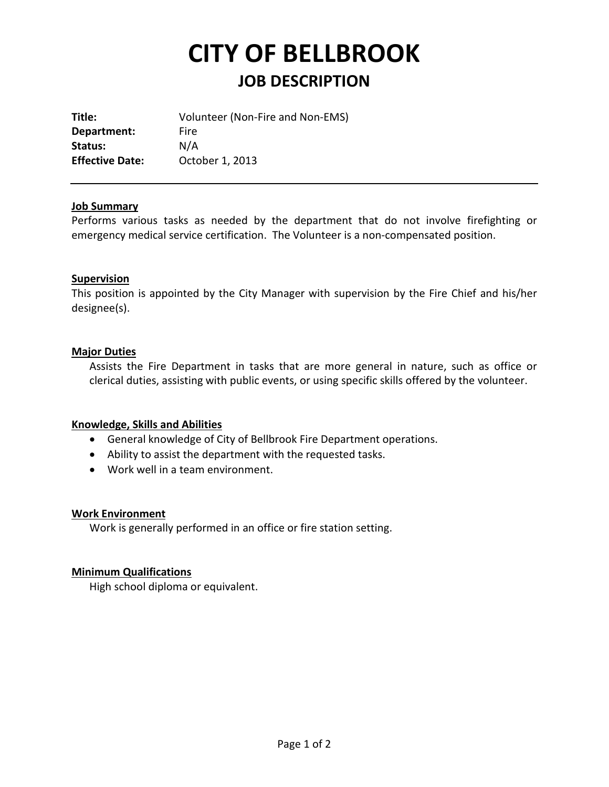# **CITY OF BELLBROOK JOB DESCRIPTION**

**Title:** Volunteer (Non-Fire and Non-EMS) **Department:** Fire **Status:** N/A **Effective Date:** October 1, 2013

## **Job Summary**

Performs various tasks as needed by the department that do not involve firefighting or emergency medical service certification. The Volunteer is a non-compensated position.

## **Supervision**

This position is appointed by the City Manager with supervision by the Fire Chief and his/her designee(s).

## **Major Duties**

Assists the Fire Department in tasks that are more general in nature, such as office or clerical duties, assisting with public events, or using specific skills offered by the volunteer.

#### **Knowledge, Skills and Abilities**

- General knowledge of City of Bellbrook Fire Department operations.
- Ability to assist the department with the requested tasks.
- Work well in a team environment.

#### **Work Environment**

Work is generally performed in an office or fire station setting.

## **Minimum Qualifications**

High school diploma or equivalent.